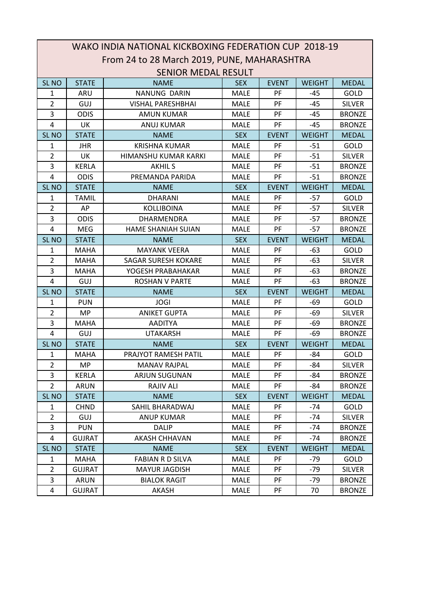|                         | WAKO INDIA NATIONAL KICKBOXING FEDERATION CUP 2018-19 |                                             |             |              |               |               |  |  |  |
|-------------------------|-------------------------------------------------------|---------------------------------------------|-------------|--------------|---------------|---------------|--|--|--|
|                         |                                                       | From 24 to 28 March 2019, PUNE, MAHARASHTRA |             |              |               |               |  |  |  |
|                         | <b>SENIOR MEDAL RESULT</b>                            |                                             |             |              |               |               |  |  |  |
| SL <sub>NO</sub>        | <b>STATE</b>                                          | <b>NAME</b>                                 | <b>SEX</b>  | <b>EVENT</b> | <b>WEIGHT</b> | <b>MEDAL</b>  |  |  |  |
| 1                       | ARU                                                   | NANUNG DARIN                                | <b>MALE</b> | PF           | $-45$         | <b>GOLD</b>   |  |  |  |
| $\overline{2}$          | GUJ                                                   | <b>VISHAL PARESHBHAI</b>                    | <b>MALE</b> | PF           | $-45$         | <b>SILVER</b> |  |  |  |
| 3                       | <b>ODIS</b>                                           | <b>AMUN KUMAR</b>                           | <b>MALE</b> | PF           | $-45$         | <b>BRONZE</b> |  |  |  |
| 4                       | UK                                                    | <b>ANUJ KUMAR</b>                           | <b>MALE</b> | PF           | $-45$         | <b>BRONZE</b> |  |  |  |
| SL <sub>NO</sub>        | <b>STATE</b>                                          | <b>NAME</b>                                 | <b>SEX</b>  | <b>EVENT</b> | <b>WEIGHT</b> | <b>MEDAL</b>  |  |  |  |
| 1                       | <b>JHR</b>                                            | <b>KRISHNA KUMAR</b>                        | <b>MALE</b> | PF           | $-51$         | GOLD          |  |  |  |
| $\overline{2}$          | UK                                                    | HIMANSHU KUMAR KARKI                        | <b>MALE</b> | PF           | $-51$         | <b>SILVER</b> |  |  |  |
| 3                       | <b>KERLA</b>                                          | <b>AKHILS</b>                               | <b>MALE</b> | PF           | $-51$         | <b>BRONZE</b> |  |  |  |
| 4                       | <b>ODIS</b>                                           | PREMANDA PARIDA                             | <b>MALE</b> | PF           | $-51$         | <b>BRONZE</b> |  |  |  |
| SL <sub>NO</sub>        | <b>STATE</b>                                          | <b>NAME</b>                                 | <b>SEX</b>  | <b>EVENT</b> | <b>WEIGHT</b> | <b>MEDAL</b>  |  |  |  |
| 1                       | <b>TAMIL</b>                                          | <b>DHARANI</b>                              | <b>MALE</b> | PF           | $-57$         | GOLD          |  |  |  |
| $\overline{2}$          | AP                                                    | KOLLIBOINA                                  | <b>MALE</b> | PF           | $-57$         | <b>SILVER</b> |  |  |  |
| 3                       | <b>ODIS</b>                                           | DHARMENDRA                                  | <b>MALE</b> | PF           | $-57$         | <b>BRONZE</b> |  |  |  |
| 4                       | <b>MEG</b>                                            | HAME SHANIAH SUIAN                          | <b>MALE</b> | PF           | $-57$         | <b>BRONZE</b> |  |  |  |
| <b>SL NO</b>            | <b>STATE</b>                                          | <b>NAME</b>                                 | <b>SEX</b>  | <b>EVENT</b> | <b>WEIGHT</b> | <b>MEDAL</b>  |  |  |  |
| 1                       | <b>MAHA</b>                                           | <b>MAYANK VEERA</b>                         | <b>MALE</b> | PF           | -63           | GOLD          |  |  |  |
| $\overline{2}$          | <b>MAHA</b>                                           | <b>SAGAR SURESH KOKARE</b>                  | <b>MALE</b> | PF           | $-63$         | <b>SILVER</b> |  |  |  |
| 3                       | <b>MAHA</b>                                           | YOGESH PRABAHAKAR                           | <b>MALE</b> | PF           | $-63$         | <b>BRONZE</b> |  |  |  |
| 4                       | GUJ                                                   | <b>ROSHAN V PARTE</b>                       | <b>MALE</b> | PF           | $-63$         | <b>BRONZE</b> |  |  |  |
| SL <sub>NO</sub>        | <b>STATE</b>                                          | <b>NAME</b>                                 | <b>SEX</b>  | <b>EVENT</b> | <b>WEIGHT</b> | <b>MEDAL</b>  |  |  |  |
| 1                       | <b>PUN</b>                                            | <b>JOGI</b>                                 | <b>MALE</b> | PF           | -69           | GOLD          |  |  |  |
| $\overline{2}$          | MP                                                    | <b>ANIKET GUPTA</b>                         | <b>MALE</b> | PF           | -69           | <b>SILVER</b> |  |  |  |
| 3                       | <b>MAHA</b>                                           | <b>AADITYA</b>                              | <b>MALE</b> | PF           | $-69$         | <b>BRONZE</b> |  |  |  |
| $\overline{4}$          | GUJ                                                   | <b>UTAKARSH</b>                             | <b>MALE</b> | PF           | -69           | <b>BRONZE</b> |  |  |  |
| SL <sub>NO</sub>        | <b>STATE</b>                                          | <b>NAME</b>                                 | <b>SEX</b>  | <b>EVENT</b> | <b>WEIGHT</b> | <b>MEDAL</b>  |  |  |  |
| 1                       | <b>MAHA</b>                                           | PRAJYOT RAMESH PATIL                        | <b>MALE</b> | PF           | -84           | <b>GOLD</b>   |  |  |  |
| $\overline{2}$          | <b>MP</b>                                             | <b>MANAV RAJPAL</b>                         | <b>MALE</b> | PF           | -84           | <b>SILVER</b> |  |  |  |
| 3                       | KERLA                                                 | ARJUN SUGUNAN                               | <b>MALE</b> | PF           | -84           | <b>BRONZE</b> |  |  |  |
| $\overline{2}$          | <b>ARUN</b>                                           | <b>RAJIV ALI</b>                            | <b>MALE</b> | PF           | -84           | <b>BRONZE</b> |  |  |  |
| SL <sub>NO</sub>        | <b>STATE</b>                                          | <b>NAME</b>                                 | <b>SEX</b>  | <b>EVENT</b> | <b>WEIGHT</b> | <b>MEDAL</b>  |  |  |  |
| 1                       | <b>CHND</b>                                           | SAHIL BHARADWAJ                             | <b>MALE</b> | PF           | $-74$         | <b>GOLD</b>   |  |  |  |
| $\overline{2}$          | <b>GUJ</b>                                            | ANUP KUMAR                                  | <b>MALE</b> | <b>PF</b>    | $-74$         | <b>SILVER</b> |  |  |  |
| 3                       | <b>PUN</b>                                            | <b>DALIP</b>                                | <b>MALE</b> | PF           | $-74$         | <b>BRONZE</b> |  |  |  |
| $\overline{\mathbf{4}}$ | <b>GUJRAT</b>                                         | AKASH CHHAVAN                               | MALE        | PF           | -74           | <b>BRONZE</b> |  |  |  |
| SL <sub>NO</sub>        | <b>STATE</b>                                          | <b>NAME</b>                                 | <b>SEX</b>  | <b>EVENT</b> | <b>WEIGHT</b> | <b>MEDAL</b>  |  |  |  |
| 1                       | MAHA                                                  | <b>FABIAN R D SILVA</b>                     | <b>MALE</b> | PF           | -79           | GOLD          |  |  |  |
| $\overline{2}$          | <b>GUJRAT</b>                                         | <b>MAYUR JAGDISH</b>                        | MALE        | PF           | $-79$         | <b>SILVER</b> |  |  |  |
| 3                       | <b>ARUN</b>                                           | <b>BIALOK RAGIT</b>                         | <b>MALE</b> | PF           | $-79$         | <b>BRONZE</b> |  |  |  |
| $\overline{a}$          | <b>GUJRAT</b>                                         | AKASH                                       | MALE        | PF           | 70            | <b>BRONZE</b> |  |  |  |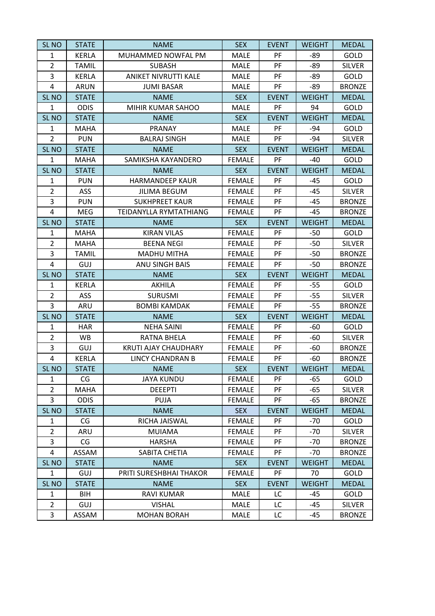| <b>SL NO</b>     | <b>STATE</b> | <b>NAME</b>             | <b>SEX</b>    | <b>EVENT</b> | <b>WEIGHT</b> | <b>MEDAL</b>  |
|------------------|--------------|-------------------------|---------------|--------------|---------------|---------------|
| 1                | <b>KERLA</b> | MUHAMMED NOWFAL PM      | <b>MALE</b>   | PF           | -89           | GOLD          |
| $\overline{2}$   | <b>TAMIL</b> | <b>SUBASH</b>           | MALE          | PF           | -89           | <b>SILVER</b> |
| 3                | <b>KERLA</b> | ANIKET NIVRUTTI KALE    | <b>MALE</b>   | PF           | -89           | GOLD          |
| 4                | <b>ARUN</b>  | <b>JUMI BASAR</b>       | MALE          | PF           | -89           | <b>BRONZE</b> |
| SL <sub>NO</sub> | <b>STATE</b> | <b>NAME</b>             | <b>SEX</b>    | <b>EVENT</b> | <b>WEIGHT</b> | <b>MEDAL</b>  |
| $\mathbf{1}$     | <b>ODIS</b>  | MIHIR KUMAR SAHOO       | <b>MALE</b>   | PF           | 94            | GOLD          |
| SL <sub>NO</sub> | <b>STATE</b> | <b>NAME</b>             | <b>SEX</b>    | <b>EVENT</b> | <b>WEIGHT</b> | <b>MEDAL</b>  |
| $\mathbf{1}$     | <b>MAHA</b>  | PRANAY                  | <b>MALE</b>   | PF           | -94           | GOLD          |
| $\overline{2}$   | <b>PUN</b>   | <b>BALRAJ SINGH</b>     | MALE          | PF           | -94           | <b>SILVER</b> |
| SL <sub>NO</sub> | <b>STATE</b> | <b>NAME</b>             | <b>SEX</b>    | <b>EVENT</b> | <b>WEIGHT</b> | <b>MEDAL</b>  |
| $\mathbf{1}$     | <b>MAHA</b>  | SAMIKSHA KAYANDERO      | <b>FEMALE</b> | PF           | $-40$         | GOLD          |
| SL <sub>NO</sub> | <b>STATE</b> | <b>NAME</b>             | <b>SEX</b>    | <b>EVENT</b> | <b>WEIGHT</b> | <b>MEDAL</b>  |
| $\mathbf{1}$     | <b>PUN</b>   | <b>HARMANDEEP KAUR</b>  | <b>FEMALE</b> | PF           | $-45$         | GOLD          |
| $\overline{2}$   | ASS          | <b>JILIMA BEGUM</b>     | <b>FEMALE</b> | PF           | $-45$         | <b>SILVER</b> |
| 3                | <b>PUN</b>   | <b>SUKHPREET KAUR</b>   | <b>FEMALE</b> | PF           | $-45$         | <b>BRONZE</b> |
| 4                | <b>MEG</b>   | TEIDANYLLA RYMTATHIANG  | <b>FEMALE</b> | PF           | $-45$         | <b>BRONZE</b> |
| SL <sub>NO</sub> | <b>STATE</b> | <b>NAME</b>             | <b>SEX</b>    | <b>EVENT</b> | <b>WEIGHT</b> | <b>MEDAL</b>  |
| 1                | <b>MAHA</b>  | <b>KIRAN VILAS</b>      | <b>FEMALE</b> | PF           | $-50$         | GOLD          |
| $\overline{2}$   | <b>MAHA</b>  | <b>BEENA NEGI</b>       | <b>FEMALE</b> | PF           | $-50$         | <b>SILVER</b> |
| 3                | TAMIL        | <b>MADHU MITHA</b>      | <b>FEMALE</b> | PF           | -50           | <b>BRONZE</b> |
| 4                | GUJ          | <b>ANU SINGH BAIS</b>   | <b>FEMALE</b> | PF           | $-50$         | <b>BRONZE</b> |
| SL <sub>NO</sub> | <b>STATE</b> | <b>NAME</b>             | <b>SEX</b>    | <b>EVENT</b> | <b>WEIGHT</b> | <b>MEDAL</b>  |
| 1                | <b>KERLA</b> | <b>AKHILA</b>           | <b>FEMALE</b> | PF           | $-55$         | GOLD          |
| $\overline{2}$   | <b>ASS</b>   | <b>SURUSMI</b>          | <b>FEMALE</b> | PF           | $-55$         | <b>SILVER</b> |
| 3                | ARU          | <b>BOMBI KAMDAK</b>     | <b>FEMALE</b> | PF           | $-55$         | <b>BRONZE</b> |
| SL <sub>NO</sub> | <b>STATE</b> | <b>NAME</b>             | <b>SEX</b>    | <b>EVENT</b> | <b>WEIGHT</b> | <b>MEDAL</b>  |
| $\mathbf{1}$     | <b>HAR</b>   | <b>NEHA SAINI</b>       | <b>FEMALE</b> | PF           | $-60$         | GOLD          |
| $\overline{2}$   | WB           | RATNA BHELA             | <b>FEMALE</b> | PF           | $-60$         | <b>SILVER</b> |
| 3                | GUJ          | KRUTI AJAY CHAUDHARY    | <b>FEMALE</b> | PF           | -60           | <b>BRONZE</b> |
| 4                | <b>KERLA</b> | LINCY CHANDRAN B        | <b>FEMALE</b> | PF           | $-60$         | <b>BRONZE</b> |
| <b>SL NO</b>     | STATE        | <b>NAME</b>             | <b>SEX</b>    | <b>EVENT</b> | <b>WEIGHT</b> | MEDAL         |
| 1                | CG           | <b>JAYA KUNDU</b>       | <b>FEMALE</b> | <b>PF</b>    | -65           | GOLD          |
| $\overline{2}$   | <b>MAHA</b>  | <b>DEEEPTI</b>          | <b>FEMALE</b> | <b>PF</b>    | $-65$         | <b>SILVER</b> |
| 3                | <b>ODIS</b>  | <b>PUJA</b>             | <b>FEMALE</b> | PF           | $-65$         | <b>BRONZE</b> |
| SL <sub>NO</sub> | <b>STATE</b> | <b>NAME</b>             | <b>SEX</b>    | <b>EVENT</b> | <b>WEIGHT</b> | <b>MEDAL</b>  |
| 1                | CG           | RICHA JAISWAL           | <b>FEMALE</b> | PF           | $-70$         | GOLD          |
| $\overline{2}$   | ARU          | <b>MUIAMA</b>           | <b>FEMALE</b> | <b>PF</b>    | $-70$         | <b>SILVER</b> |
| 3                | CG           | <b>HARSHA</b>           | <b>FEMALE</b> | PF           | $-70$         | <b>BRONZE</b> |
| 4                | <b>ASSAM</b> | SABITA CHETIA           | <b>FEMALE</b> | PF           | $-70$         | <b>BRONZE</b> |
| SL <sub>NO</sub> | <b>STATE</b> | <b>NAME</b>             | <b>SEX</b>    | <b>EVENT</b> | <b>WEIGHT</b> | <b>MEDAL</b>  |
| $\mathbf{1}$     | GUJ          | PRITI SURESHBHAI THAKOR | <b>FEMALE</b> | PF           | 70            | GOLD          |
| SL <sub>NO</sub> | <b>STATE</b> | <b>NAME</b>             | <b>SEX</b>    | <b>EVENT</b> | <b>WEIGHT</b> | <b>MEDAL</b>  |
| $\mathbf{1}$     | BIH          | RAVI KUMAR              | <b>MALE</b>   | LC           | -45           | GOLD          |
| $\overline{2}$   | GUJ          | <b>VISHAL</b>           | <b>MALE</b>   | LC           | -45           | <b>SILVER</b> |
| 3                | ASSAM        | <b>MOHAN BORAH</b>      | <b>MALE</b>   | LC           | -45           | <b>BRONZE</b> |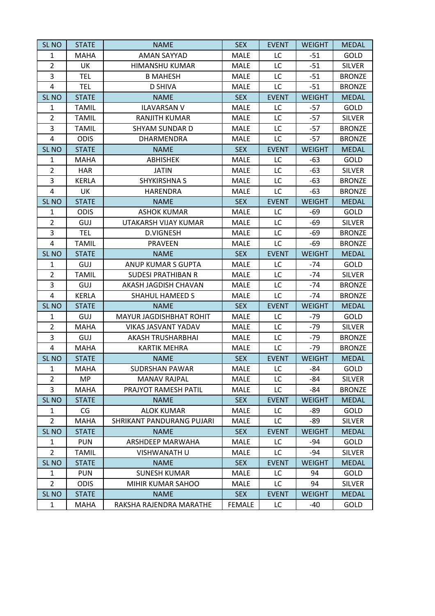| SL <sub>NO</sub> | <b>STATE</b> | <b>NAME</b>               | <b>SEX</b>    | <b>EVENT</b> | <b>WEIGHT</b> | <b>MEDAL</b>  |
|------------------|--------------|---------------------------|---------------|--------------|---------------|---------------|
| $\mathbf{1}$     | <b>MAHA</b>  | <b>AMAN SAYYAD</b>        | <b>MALE</b>   | LC           | $-51$         | GOLD          |
| $\overline{2}$   | UK           | <b>HIMANSHU KUMAR</b>     | MALE          | LC           | $-51$         | <b>SILVER</b> |
| 3                | <b>TEL</b>   | <b>B MAHESH</b>           | MALE          | LC           | $-51$         | <b>BRONZE</b> |
| 4                | <b>TEL</b>   | <b>D SHIVA</b>            | MALE          | LC           | $-51$         | <b>BRONZE</b> |
| SL <sub>NO</sub> | <b>STATE</b> | <b>NAME</b>               | <b>SEX</b>    | <b>EVENT</b> | <b>WEIGHT</b> | <b>MEDAL</b>  |
| $\mathbf{1}$     | <b>TAMIL</b> | <b>ILAVARSAN V</b>        | MALE          | LC           | $-57$         | GOLD          |
| $\overline{2}$   | <b>TAMIL</b> | <b>RANJITH KUMAR</b>      | MALE          | LC           | $-57$         | <b>SILVER</b> |
| 3                | <b>TAMIL</b> | <b>SHYAM SUNDAR D</b>     | MALE          | LC           | $-57$         | <b>BRONZE</b> |
| 4                | <b>ODIS</b>  | <b>DHARMENDRA</b>         | <b>MALE</b>   | LC           | $-57$         | <b>BRONZE</b> |
| SL <sub>NO</sub> | <b>STATE</b> | <b>NAME</b>               | <b>SEX</b>    | <b>EVENT</b> | <b>WEIGHT</b> | <b>MEDAL</b>  |
| $\mathbf{1}$     | <b>MAHA</b>  | <b>ABHISHEK</b>           | MALE          | LC           | $-63$         | GOLD          |
| $\overline{2}$   | <b>HAR</b>   | <b>JATIN</b>              | MALE          | LC           | $-63$         | <b>SILVER</b> |
| 3                | <b>KERLA</b> | <b>SHYKIRSHNA S</b>       | MALE          | LC           | $-63$         | <b>BRONZE</b> |
| 4                | UK           | <b>HARENDRA</b>           | MALE          | LC           | $-63$         | <b>BRONZE</b> |
| SL <sub>NO</sub> | <b>STATE</b> | <b>NAME</b>               | <b>SEX</b>    | <b>EVENT</b> | <b>WEIGHT</b> | <b>MEDAL</b>  |
| $\mathbf{1}$     | <b>ODIS</b>  | <b>ASHOK KUMAR</b>        | MALE          | LC           | $-69$         | GOLD          |
| $\overline{2}$   | GUJ          | UTAKARSH VIJAY KUMAR      | MALE          | LC           | -69           | <b>SILVER</b> |
| 3                | <b>TEL</b>   | <b>D.VIGNESH</b>          | MALE          | LC           | -69           | <b>BRONZE</b> |
| 4                | <b>TAMIL</b> | <b>PRAVEEN</b>            | MALE          | LC           | -69           | <b>BRONZE</b> |
| SL <sub>NO</sub> | <b>STATE</b> | <b>NAME</b>               | <b>SEX</b>    | <b>EVENT</b> | <b>WEIGHT</b> | <b>MEDAL</b>  |
| $\mathbf{1}$     | GUJ          | ANUP KUMAR S GUPTA        | MALE          | LC           | $-74$         | GOLD          |
| $\overline{2}$   | <b>TAMIL</b> | <b>SUDESI PRATHIBAN R</b> | MALE          | LC           | $-74$         | <b>SILVER</b> |
| 3                | GUJ          | AKASH JAGDISH CHAVAN      | <b>MALE</b>   | LC           | $-74$         | <b>BRONZE</b> |
| 4                | <b>KERLA</b> | <b>SHAHUL HAMEED S</b>    | MALE          | LC           | $-74$         | <b>BRONZE</b> |
| SL <sub>NO</sub> | <b>STATE</b> | <b>NAME</b>               | <b>SEX</b>    | <b>EVENT</b> | <b>WEIGHT</b> | <b>MEDAL</b>  |
| 1                | GUJ          | MAYUR JAGDISHBHAT ROHIT   | <b>MALE</b>   | LC           | $-79$         | GOLD          |
| $\overline{2}$   | <b>MAHA</b>  | VIKAS JASVANT YADAV       | MALE          | LC           | $-79$         | <b>SILVER</b> |
| 3                | GUJ          | AKASH TRUSHARBHAI         | MALE          | LC           | $-79$         | <b>BRONZE</b> |
| 4                | <b>MAHA</b>  | <b>KARTIK MEHRA</b>       | MALE          | LC           | $-79$         | <b>BRONZE</b> |
| SL <sub>NO</sub> | <b>STATE</b> | <b>NAME</b>               | <b>SEX</b>    | <b>EVENT</b> | <b>WEIGHT</b> | <b>MEDAL</b>  |
| 1                | MAHA         | SUDRSHAN PAWAR            | MALE          | LC           | -84           | <b>GOLD</b>   |
| $\overline{2}$   | <b>MP</b>    | <b>MANAV RAJPAL</b>       | <b>MALE</b>   | LC           | -84           | <b>SILVER</b> |
| 3                | <b>MAHA</b>  | PRAJYOT RAMESH PATIL      | <b>MALE</b>   | LC           | -84           | <b>BRONZE</b> |
| SL <sub>NO</sub> | <b>STATE</b> | <b>NAME</b>               | <b>SEX</b>    | <b>EVENT</b> | <b>WEIGHT</b> | <b>MEDAL</b>  |
| $\mathbf{1}$     | CG           | <b>ALOK KUMAR</b>         | MALE          | LC           | -89           | GOLD          |
| $\overline{2}$   | <b>MAHA</b>  | SHRIKANT PANDURANG PUJARI | MALE          | LC           | -89           | <b>SILVER</b> |
| SL <sub>NO</sub> | <b>STATE</b> | <b>NAME</b>               | <b>SEX</b>    | <b>EVENT</b> | <b>WEIGHT</b> | <b>MEDAL</b>  |
| $\mathbf{1}$     | <b>PUN</b>   | ARSHDEEP MARWAHA          | MALE          | LC           | -94           | <b>GOLD</b>   |
| $\overline{2}$   | <b>TAMIL</b> | VISHWANATH U              | <b>MALE</b>   | LC           | -94           | <b>SILVER</b> |
| SL <sub>NO</sub> | <b>STATE</b> | <b>NAME</b>               | <b>SEX</b>    | <b>EVENT</b> | <b>WEIGHT</b> | <b>MEDAL</b>  |
| 1                | <b>PUN</b>   | <b>SUNESH KUMAR</b>       | MALE          | LC           | 94            | GOLD          |
| $\overline{2}$   | <b>ODIS</b>  | MIHIR KUMAR SAHOO         | MALE          | LC           | 94            | <b>SILVER</b> |
| SL <sub>NO</sub> | <b>STATE</b> | <b>NAME</b>               | <b>SEX</b>    | <b>EVENT</b> | <b>WEIGHT</b> | <b>MEDAL</b>  |
| 1                | <b>MAHA</b>  | RAKSHA RAJENDRA MARATHE   | <b>FEMALE</b> | LC           | -40           | GOLD          |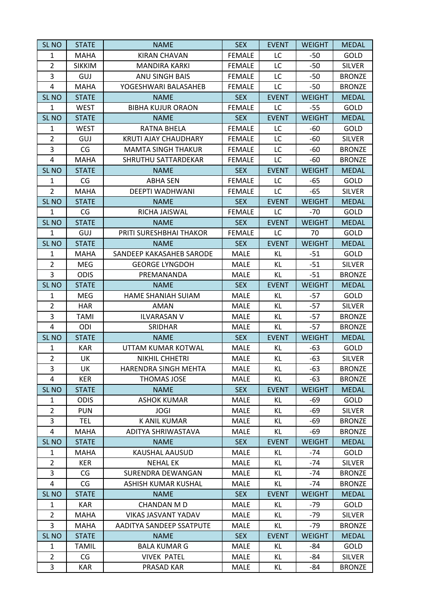| <b>SL NO</b>     | <b>STATE</b>  | <b>NAME</b>                 | <b>SEX</b>    | <b>EVENT</b> | <b>WEIGHT</b> | <b>MEDAL</b>  |
|------------------|---------------|-----------------------------|---------------|--------------|---------------|---------------|
| $\mathbf{1}$     | <b>MAHA</b>   | <b>KIRAN CHAVAN</b>         | <b>FEMALE</b> | LC           | $-50$         | GOLD          |
| $\overline{2}$   | <b>SIKKIM</b> | <b>MANDIRA KARKI</b>        | <b>FEMALE</b> | LC           | $-50$         | <b>SILVER</b> |
| 3                | GUJ           | <b>ANU SINGH BAIS</b>       | <b>FEMALE</b> | LC           | $-50$         | <b>BRONZE</b> |
| 4                | <b>MAHA</b>   | YOGESHWARI BALASAHEB        | <b>FEMALE</b> | LC           | $-50$         | <b>BRONZE</b> |
| SL <sub>NO</sub> | <b>STATE</b>  | <b>NAME</b>                 | <b>SEX</b>    | <b>EVENT</b> | <b>WEIGHT</b> | <b>MEDAL</b>  |
| $\mathbf{1}$     | <b>WEST</b>   | <b>BIBHA KUJUR ORAON</b>    | <b>FEMALE</b> | LC           | $-55$         | GOLD          |
| SL <sub>NO</sub> | <b>STATE</b>  | <b>NAME</b>                 | <b>SEX</b>    | <b>EVENT</b> | <b>WEIGHT</b> | <b>MEDAL</b>  |
| 1                | <b>WEST</b>   | <b>RATNA BHELA</b>          | <b>FEMALE</b> | LC           | $-60$         | GOLD          |
| $\overline{2}$   | GUJ           | <b>KRUTI AJAY CHAUDHARY</b> | <b>FEMALE</b> | LC           | $-60$         | <b>SILVER</b> |
| 3                | CG            | <b>MAMTA SINGH THAKUR</b>   | <b>FEMALE</b> | LC           | $-60$         | <b>BRONZE</b> |
| 4                | <b>MAHA</b>   | SHRUTHU SATTARDEKAR         | <b>FEMALE</b> | LC           | $-60$         | <b>BRONZE</b> |
| SL <sub>NO</sub> | <b>STATE</b>  | <b>NAME</b>                 | <b>SEX</b>    | <b>EVENT</b> | <b>WEIGHT</b> | <b>MEDAL</b>  |
| 1                | CG            | <b>ABHA SEN</b>             | <b>FEMALE</b> | LC           | $-65$         | GOLD          |
| $\overline{2}$   | <b>MAHA</b>   | DEEPTI WADHWANI             | <b>FEMALE</b> | LC           | $-65$         | <b>SILVER</b> |
| SL <sub>NO</sub> | <b>STATE</b>  | <b>NAME</b>                 | <b>SEX</b>    | <b>EVENT</b> | <b>WEIGHT</b> | <b>MEDAL</b>  |
| $\mathbf{1}$     | CG            | RICHA JAISWAL               | <b>FEMALE</b> | LC           | $-70$         | GOLD          |
| SL <sub>NO</sub> | <b>STATE</b>  | <b>NAME</b>                 | <b>SEX</b>    | <b>EVENT</b> | <b>WEIGHT</b> | <b>MEDAL</b>  |
| $\mathbf{1}$     | GUJ           | PRITI SURESHBHAI THAKOR     | <b>FEMALE</b> | LC           | 70            | GOLD          |
| SL <sub>NO</sub> | <b>STATE</b>  | <b>NAME</b>                 | <b>SEX</b>    | <b>EVENT</b> | <b>WEIGHT</b> | <b>MEDAL</b>  |
| $\mathbf{1}$     | <b>MAHA</b>   | SANDEEP KAKASAHEB SARODE    | <b>MALE</b>   | KL.          | $-51$         | GOLD          |
| $\overline{2}$   | MEG           | <b>GEORGE LYNGDOH</b>       | MALE          | KL           | $-51$         | <b>SILVER</b> |
| 3                | <b>ODIS</b>   | PREMANANDA                  | <b>MALE</b>   | KL           | $-51$         | <b>BRONZE</b> |
| SL <sub>NO</sub> | <b>STATE</b>  | <b>NAME</b>                 | <b>SEX</b>    | <b>EVENT</b> | <b>WEIGHT</b> | <b>MEDAL</b>  |
| $\mathbf{1}$     | <b>MEG</b>    | HAME SHANIAH SUIAM          | MALE          | KL.          | $-57$         | GOLD          |
| $\overline{2}$   | <b>HAR</b>    | AMAN                        | MALE          | KL.          | $-57$         | <b>SILVER</b> |
| 3                | TAMI          | <b>ILVARASAN V</b>          | <b>MALE</b>   | KL.          | $-57$         | <b>BRONZE</b> |
| 4                | ODI           | SRIDHAR                     | MALE          | KL           | $-57$         | <b>BRONZE</b> |
| SL <sub>NO</sub> | <b>STATE</b>  | <b>NAME</b>                 | <b>SEX</b>    | <b>EVENT</b> | <b>WEIGHT</b> | <b>MEDAL</b>  |
| $\mathbf{1}$     | <b>KAR</b>    | UTTAM KUMAR KOTWAL          | MALE          | KL.          | $-63$         | GOLD          |
| $\overline{2}$   | UK            | NIKHIL CHHETRI              | MALE          | KL           | $-63$         | <b>SILVER</b> |
| 3                | UK            | HARENDRA SINGH MEHTA        | MALE          | KL           | $-63$         | <b>BRONZE</b> |
| 4                | <b>KER</b>    | THOMAS JOSE                 | MALE          | KL           | $-63$         | <b>BRONZE</b> |
| SL <sub>NO</sub> | <b>STATE</b>  | <b>NAME</b>                 | <b>SEX</b>    | <b>EVENT</b> | <b>WEIGHT</b> | <b>MEDAL</b>  |
| 1                | <b>ODIS</b>   | <b>ASHOK KUMAR</b>          | <b>MALE</b>   | KL.          | -69           | <b>GOLD</b>   |
| $\overline{2}$   | <b>PUN</b>    | <b>JOGI</b>                 | <b>MALE</b>   | KL           | -69           | <b>SILVER</b> |
| 3                | TEL           | K ANIL KUMAR                | <b>MALE</b>   | KL           | -69           | <b>BRONZE</b> |
| 4                | <b>MAHA</b>   | ADITYA SHRIWASTAVA          | <b>MALE</b>   | KL           | -69           | <b>BRONZE</b> |
| SL <sub>NO</sub> | <b>STATE</b>  | <b>NAME</b>                 | <b>SEX</b>    | <b>EVENT</b> | <b>WEIGHT</b> | <b>MEDAL</b>  |
| 1                | MAHA          | KAUSHAL AAUSUD              | MALE          | KL.          | $-74$         | <b>GOLD</b>   |
| $\overline{2}$   | <b>KER</b>    | <b>NEHAL EK</b>             | <b>MALE</b>   | KL           | $-74$         | <b>SILVER</b> |
| 3                | CG            | SURENDRA DEWANGAN           | MALE          | KL           | $-74$         | <b>BRONZE</b> |
| 4                | CG            | ASHISH KUMAR KUSHAL         | MALE          | KL.          | $-74$         | <b>BRONZE</b> |
| SL <sub>NO</sub> | <b>STATE</b>  | <b>NAME</b>                 | <b>SEX</b>    | <b>EVENT</b> | <b>WEIGHT</b> | <b>MEDAL</b>  |
| 1                | <b>KAR</b>    | <b>CHANDAN M D</b>          | <b>MALE</b>   | KL.          | -79           | <b>GOLD</b>   |
| $\overline{2}$   | <b>MAHA</b>   | VIKAS JASVANT YADAV         | <b>MALE</b>   | KL           | $-79$         | <b>SILVER</b> |
| 3                | <b>MAHA</b>   | AADITYA SANDEEP SSATPUTE    | MALE          | KL           | $-79$         | <b>BRONZE</b> |
| SL <sub>NO</sub> | <b>STATE</b>  | <b>NAME</b>                 | <b>SEX</b>    | <b>EVENT</b> | <b>WEIGHT</b> | <b>MEDAL</b>  |
| $\mathbf{1}$     | <b>TAMIL</b>  | <b>BALA KUMAR G</b>         | <b>MALE</b>   | KL           | -84           | <b>GOLD</b>   |
| $\overline{2}$   | CG            | <b>VIVEK PATEL</b>          | MALE          | KL           | -84           | <b>SILVER</b> |
| 3                | KAR           | PRASAD KAR                  | <b>MALE</b>   | KL           | -84           | <b>BRONZE</b> |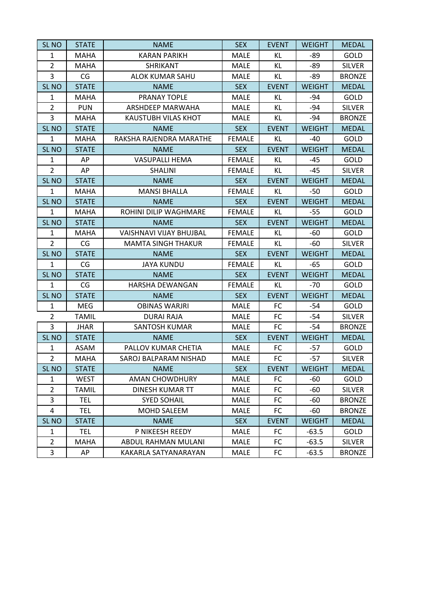| SL <sub>NO</sub> | <b>STATE</b> | <b>NAME</b>             | <b>SEX</b>    | <b>EVENT</b> | <b>WEIGHT</b> | <b>MEDAL</b>  |
|------------------|--------------|-------------------------|---------------|--------------|---------------|---------------|
| $\mathbf{1}$     | <b>MAHA</b>  | <b>KARAN PARIKH</b>     | <b>MALE</b>   | KL           | -89           | GOLD          |
| $\overline{2}$   | <b>MAHA</b>  | <b>SHRIKANT</b>         | MALE          | KL           | -89           | <b>SILVER</b> |
| 3                | CG           | <b>ALOK KUMAR SAHU</b>  | <b>MALE</b>   | KL           | -89           | <b>BRONZE</b> |
| SL <sub>NO</sub> | <b>STATE</b> | <b>NAME</b>             | <b>SEX</b>    | <b>EVENT</b> | <b>WEIGHT</b> | <b>MEDAL</b>  |
| 1                | <b>MAHA</b>  | PRANAY TOPLE            | <b>MALE</b>   | KL           | -94           | GOLD          |
| $\overline{2}$   | <b>PUN</b>   | ARSHDEEP MARWAHA        | MALE          | KL.          | $-94$         | <b>SILVER</b> |
| 3                | MAHA         | KAUSTUBH VILAS KHOT     | MALE          | KL           | $-94$         | <b>BRONZE</b> |
| SL <sub>NO</sub> | <b>STATE</b> | <b>NAME</b>             | <b>SEX</b>    | <b>EVENT</b> | <b>WEIGHT</b> | <b>MEDAL</b>  |
| $\mathbf{1}$     | <b>MAHA</b>  | RAKSHA RAJENDRA MARATHE | <b>FEMALE</b> | KL           | -40           | GOLD          |
| SL <sub>NO</sub> | <b>STATE</b> | <b>NAME</b>             | <b>SEX</b>    | <b>EVENT</b> | <b>WEIGHT</b> | <b>MEDAL</b>  |
| 1                | AP           | <b>VASUPALLI HEMA</b>   | <b>FEMALE</b> | KL.          | $-45$         | GOLD          |
| $\overline{2}$   | AP           | <b>SHALINI</b>          | <b>FEMALE</b> | KL           | $-45$         | <b>SILVER</b> |
| SL <sub>NO</sub> | <b>STATE</b> | <b>NAME</b>             | <b>SEX</b>    | <b>EVENT</b> | <b>WEIGHT</b> | <b>MEDAL</b>  |
| $\mathbf{1}$     | <b>MAHA</b>  | <b>MANSI BHALLA</b>     | <b>FEMALE</b> | KL           | -50           | GOLD          |
| SL <sub>NO</sub> | <b>STATE</b> | <b>NAME</b>             | <b>SEX</b>    | <b>EVENT</b> | <b>WEIGHT</b> | <b>MEDAL</b>  |
| $\mathbf{1}$     | <b>MAHA</b>  | ROHINI DILIP WAGHMARE   | <b>FEMALE</b> | KL           | $-55$         | GOLD          |
| SL <sub>NO</sub> | <b>STATE</b> | <b>NAME</b>             | <b>SEX</b>    | <b>EVENT</b> | <b>WEIGHT</b> | <b>MEDAL</b>  |
| $\mathbf{1}$     | <b>MAHA</b>  | VAISHNAVI VIJAY BHUJBAL | <b>FEMALE</b> | KL           | $-60$         | GOLD          |
| $\overline{2}$   | CG           | MAMTA SINGH THAKUR      | <b>FEMALE</b> | KL           | -60           | <b>SILVER</b> |
| SL <sub>NO</sub> | <b>STATE</b> | <b>NAME</b>             | <b>SEX</b>    | <b>EVENT</b> | <b>WEIGHT</b> | <b>MEDAL</b>  |
| $\mathbf{1}$     | CG           | <b>JAYA KUNDU</b>       | <b>FEMALE</b> | KL           | $-65$         | GOLD          |
| SL <sub>NO</sub> | <b>STATE</b> | <b>NAME</b>             | <b>SEX</b>    | <b>EVENT</b> | <b>WEIGHT</b> | <b>MEDAL</b>  |
| $\mathbf{1}$     | CG           | <b>HARSHA DEWANGAN</b>  | <b>FEMALE</b> | KL           | $-70$         | GOLD          |
| SL <sub>NO</sub> | <b>STATE</b> | <b>NAME</b>             | <b>SEX</b>    | <b>EVENT</b> | <b>WEIGHT</b> | <b>MEDAL</b>  |
| 1                | MEG          | <b>OBINAS WARJRI</b>    | <b>MALE</b>   | FC           | -54           | GOLD          |
| $\overline{2}$   | TAMIL        | <b>DURAI RAJA</b>       | <b>MALE</b>   | FC           | $-54$         |               |
| 3                |              |                         |               |              |               | <b>SILVER</b> |
| SL <sub>NO</sub> | <b>JHAR</b>  | <b>SANTOSH KUMAR</b>    | MALE          | FC           | $-54$         | <b>BRONZE</b> |
|                  | <b>STATE</b> | <b>NAME</b>             | <b>SEX</b>    | <b>EVENT</b> | <b>WEIGHT</b> | <b>MEDAL</b>  |
| $\mathbf{1}$     | <b>ASAM</b>  | PALLOV KUMAR CHETIA     | <b>MALE</b>   | FC           | -57           | GOLD          |
| $\overline{2}$   | <b>MAHA</b>  | SAROJ BALPARAM NISHAD   | <b>MALE</b>   | FC           | -57           | <b>SILVER</b> |
| SL <sub>NO</sub> | <b>STATE</b> | <b>NAME</b>             | <b>SEX</b>    | <b>EVENT</b> | <b>WEIGHT</b> | <b>MEDAL</b>  |
| $\mathbf{1}$     | <b>WEST</b>  | <b>AMAN CHOWDHURY</b>   | MALE          | <b>FC</b>    | -60           | GOLD          |
| $\overline{2}$   | <b>TAMIL</b> | DINESH KUMAR TT         | <b>MALE</b>   | FC           | -60           | <b>SILVER</b> |
| 3                | <b>TEL</b>   | <b>SYED SOHAIL</b>      | <b>MALE</b>   | FC           | -60           | <b>BRONZE</b> |
| 4                | TEL          | MOHD SALEEM             | <b>MALE</b>   | FC           | $-60$         | <b>BRONZE</b> |
| SL <sub>NO</sub> | <b>STATE</b> | <b>NAME</b>             | <b>SEX</b>    | <b>EVENT</b> | <b>WEIGHT</b> | <b>MEDAL</b>  |
| $\mathbf{1}$     | <b>TEL</b>   | P NIKEESH REEDY         | <b>MALE</b>   | <b>FC</b>    | $-63.5$       | GOLD          |
| $\overline{2}$   | <b>MAHA</b>  | ABDUL RAHMAN MULANI     | <b>MALE</b>   | FC           | $-63.5$       | <b>SILVER</b> |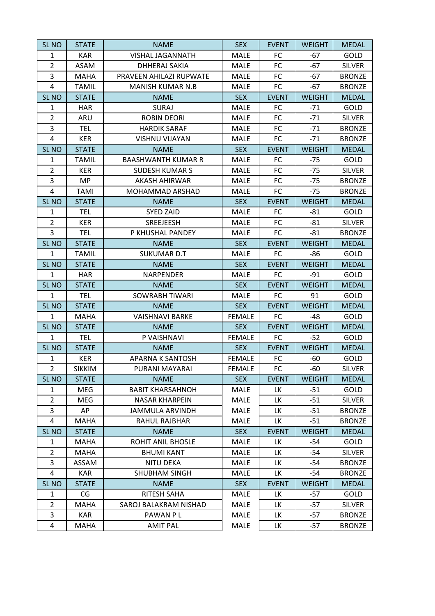| <b>SL NO</b>     | <b>STATE</b>  | <b>NAME</b>               | <b>SEX</b>    | <b>EVENT</b> | <b>WEIGHT</b> | <b>MEDAL</b>  |
|------------------|---------------|---------------------------|---------------|--------------|---------------|---------------|
| 1                | <b>KAR</b>    | VISHAL JAGANNATH          | MALE          | <b>FC</b>    | $-67$         | GOLD          |
| $\overline{2}$   | ASAM          | DHHERAJ SAKIA             | <b>MALE</b>   | <b>FC</b>    | $-67$         | <b>SILVER</b> |
| 3                | <b>MAHA</b>   | PRAVEEN AHILAZI RUPWATE   | <b>MALE</b>   | FC           | $-67$         | <b>BRONZE</b> |
| 4                | <b>TAMIL</b>  | <b>MANISH KUMAR N.B</b>   | MALE          | FC           | $-67$         | <b>BRONZE</b> |
| SL <sub>NO</sub> | <b>STATE</b>  | <b>NAME</b>               | <b>SEX</b>    | <b>EVENT</b> | <b>WEIGHT</b> | <b>MEDAL</b>  |
| $\mathbf{1}$     | <b>HAR</b>    | <b>SURAJ</b>              | MALE          | FC           | $-71$         | GOLD          |
| $\overline{2}$   | ARU           | <b>ROBIN DEORI</b>        | MALE          | FC           | $-71$         | <b>SILVER</b> |
| 3                | <b>TEL</b>    | <b>HARDIK SARAF</b>       | <b>MALE</b>   | FC           | $-71$         | <b>BRONZE</b> |
| 4                | <b>KER</b>    | <b>VISHNU VIJAYAN</b>     | <b>MALE</b>   | <b>FC</b>    | $-71$         | <b>BRONZE</b> |
| SL <sub>NO</sub> | <b>STATE</b>  | <b>NAME</b>               | <b>SEX</b>    | <b>EVENT</b> | <b>WEIGHT</b> | <b>MEDAL</b>  |
| $\mathbf{1}$     | <b>TAMIL</b>  | <b>BAASHWANTH KUMAR R</b> | MALE          | FC           | $-75$         | GOLD          |
| $\overline{2}$   | <b>KER</b>    | <b>SUDESH KUMAR S</b>     | MALE          | FC           | $-75$         | <b>SILVER</b> |
| 3                | MP            | AKASH AHIRWAR             | <b>MALE</b>   | FC           | $-75$         | <b>BRONZE</b> |
| 4                | <b>TAMI</b>   | MOHAMMAD ARSHAD           | MALE          | <b>FC</b>    | $-75$         | <b>BRONZE</b> |
| SL <sub>NO</sub> | <b>STATE</b>  | <b>NAME</b>               | <b>SEX</b>    | <b>EVENT</b> | <b>WEIGHT</b> | <b>MEDAL</b>  |
| $\mathbf{1}$     | <b>TEL</b>    | <b>SYED ZAID</b>          | <b>MALE</b>   | FC           | $-81$         | GOLD          |
| $\overline{2}$   | <b>KER</b>    | SREEJEESH                 | MALE          | FC           | $-81$         | <b>SILVER</b> |
| 3                | <b>TEL</b>    | P KHUSHAL PANDEY          | MALE          | FC           | $-81$         | <b>BRONZE</b> |
| SL <sub>NO</sub> | <b>STATE</b>  | <b>NAME</b>               | <b>SEX</b>    | <b>EVENT</b> | <b>WEIGHT</b> | <b>MEDAL</b>  |
| $\mathbf{1}$     | <b>TAMIL</b>  | SUKUMAR D.T               | <b>MALE</b>   | FC           | -86           | GOLD          |
| SL <sub>NO</sub> | <b>STATE</b>  | <b>NAME</b>               | <b>SEX</b>    | <b>EVENT</b> | <b>WEIGHT</b> | <b>MEDAL</b>  |
| $\mathbf{1}$     | <b>HAR</b>    | <b>NARPENDER</b>          | <b>MALE</b>   | FC           | $-91$         | GOLD          |
| SL <sub>NO</sub> | <b>STATE</b>  | <b>NAME</b>               | <b>SEX</b>    | <b>EVENT</b> | <b>WEIGHT</b> | <b>MEDAL</b>  |
| $\mathbf{1}$     | <b>TEL</b>    | <b>SOWRABH TIWARI</b>     | <b>MALE</b>   | FC           | 91            | GOLD          |
| SL <sub>NO</sub> | <b>STATE</b>  | <b>NAME</b>               | <b>SEX</b>    | <b>EVENT</b> | <b>WEIGHT</b> | <b>MEDAL</b>  |
| $\mathbf{1}$     | <b>MAHA</b>   | <b>VAISHNAVI BARKE</b>    | <b>FEMALE</b> | FC           | -48           | GOLD          |
| <b>SL NO</b>     | <b>STATE</b>  | <b>NAME</b>               | <b>SEX</b>    | <b>EVENT</b> | <b>WEIGHT</b> | <b>MEDAL</b>  |
| $\mathbf{1}$     | <b>TEL</b>    | P VAISHNAVI               | <b>FEMALE</b> | FC           | $-52$         | GOLD          |
| SL <sub>NO</sub> | <b>STATE</b>  | <b>NAME</b>               | <b>SEX</b>    | <b>EVENT</b> | <b>WEIGHT</b> | <b>MEDAL</b>  |
| $\mathbf{1}$     | <b>KER</b>    | <b>APARNA K SANTOSH</b>   | <b>FEMALE</b> | FC           | -60           | GOLD          |
| $\overline{2}$   | <b>SIKKIM</b> | PURANI MAYARAI            | FEMALE        | FC           | $-60$         | <b>SILVER</b> |
| <b>SL NO</b>     | <b>STATE</b>  | <b>NAME</b>               | <b>SEX</b>    | <b>EVENT</b> | <b>WEIGHT</b> | <b>MEDAL</b>  |
| $\mathbf{1}$     | MEG           | <b>BABIT KHARSAHNOH</b>   | <b>MALE</b>   | LK.          | -51           | <b>GOLD</b>   |
| $\overline{2}$   | MEG           | <b>NASAR KHARPEIN</b>     | MALE          | LK           | $-51$         | <b>SILVER</b> |
| 3                | AP            | JAMMULA ARVINDH           | MALE          | LК.          | -51           | <b>BRONZE</b> |
| 4                | MAHA          | RAHUL RAJBHAR             | <b>MALE</b>   | LK           | $-51$         | <b>BRONZE</b> |
| SL <sub>NO</sub> | <b>STATE</b>  | <b>NAME</b>               | <b>SEX</b>    | <b>EVENT</b> | <b>WEIGHT</b> | <b>MEDAL</b>  |
| 1                | <b>MAHA</b>   | ROHIT ANIL BHOSLE         | <b>MALE</b>   | LК.          | -54           | GOLD          |
| 2                | <b>MAHA</b>   | <b>BHUMI KANT</b>         | MALE          | LК.          | -54           | <b>SILVER</b> |
| 3                | ASSAM         | NITU DEKA                 | MALE          | LK           | $-54$         | <b>BRONZE</b> |
| 4                | KAR           | SHUBHAM SINGH             | MALE          | LK           | -54           | <b>BRONZE</b> |
| SL <sub>NO</sub> | <b>STATE</b>  | <b>NAME</b>               | <b>SEX</b>    | <b>EVENT</b> | <b>WEIGHT</b> | <b>MEDAL</b>  |
| $\mathbf{1}$     | CG            | RITESH SAHA               | MALE          | LK.          | -57           | GOLD          |
| $\overline{2}$   | MAHA          | SAROJ BALAKRAM NISHAD     | <b>MALE</b>   | LK           | -57           | <b>SILVER</b> |
| 3                | KAR           | PAWAN PL                  | MALE          | LK           | -57           | <b>BRONZE</b> |
| 4                | MAHA          | AMIT PAL                  | MALE          | LK           | -57           | <b>BRONZE</b> |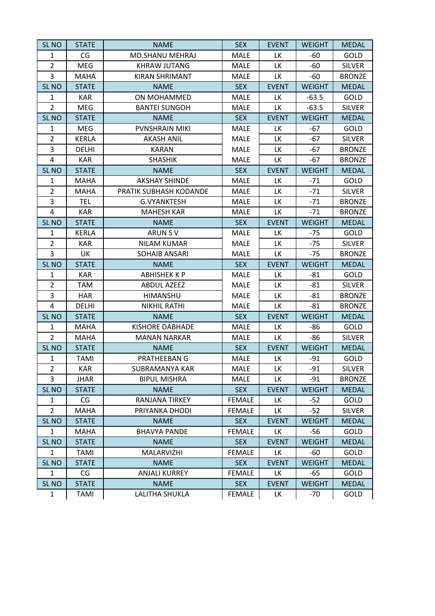| SL <sub>NO</sub> | <b>STATE</b> | <b>NAME</b>            | <b>SEX</b>    | <b>EVENT</b> | <b>WEIGHT</b> | <b>MEDAL</b>  |
|------------------|--------------|------------------------|---------------|--------------|---------------|---------------|
| 1                | CG           | MD.SHANU MEHRAJ        | MALE          | LK           | $-60$         | GOLD          |
| $\overline{2}$   | <b>MEG</b>   | <b>KHRAW JUTANG</b>    | MALE          | LK           | -60           | SILVER        |
| 3                | <b>MAHA</b>  | <b>KIRAN SHRIMANT</b>  | <b>MALE</b>   | LK           | $-60$         | <b>BRONZE</b> |
| SL <sub>NO</sub> | <b>STATE</b> | <b>NAME</b>            | <b>SEX</b>    | <b>EVENT</b> | <b>WEIGHT</b> | <b>MEDAL</b>  |
| 1                | <b>KAR</b>   | ON MOHAMMED            | <b>MALE</b>   | ГK           | $-63.5$       | GOLD          |
| $\overline{2}$   | <b>MEG</b>   | <b>BANTEI SUNGOH</b>   | <b>MALE</b>   | LK           | $-63.5$       | <b>SILVER</b> |
| SL <sub>NO</sub> | <b>STATE</b> | <b>NAME</b>            | <b>SEX</b>    | <b>EVENT</b> | <b>WEIGHT</b> | <b>MEDAL</b>  |
| $\mathbf{1}$     | MEG          | PVNSHRAIN MIKI         | <b>MALE</b>   | LK           | -67           | GOLD          |
| $\overline{2}$   | <b>KERLA</b> | <b>AKASH ANIL</b>      | <b>MALE</b>   | LK           | $-67$         | <b>SILVER</b> |
| 3                | DELHI        | <b>KARAN</b>           | <b>MALE</b>   | LK           | -67           | <b>BRONZE</b> |
| 4                | <b>KAR</b>   | <b>SHASHIK</b>         | <b>MALE</b>   | LK           | $-67$         | <b>BRONZE</b> |
| SL <sub>NO</sub> | <b>STATE</b> | <b>NAME</b>            | <b>SEX</b>    | <b>EVENT</b> | <b>WEIGHT</b> | <b>MEDAL</b>  |
| $\mathbf{1}$     | <b>MAHA</b>  | <b>AKSHAY SHINDE</b>   | <b>MALE</b>   | LK           | $-71$         | GOLD          |
| $\overline{2}$   | <b>MAHA</b>  | PRATIK SUBHASH KODANDE | MALE          | LK           | $-71$         | <b>SILVER</b> |
| 3                | <b>TEL</b>   | <b>G.VYANKTESH</b>     | <b>MALE</b>   | LK           | $-71$         | <b>BRONZE</b> |
| 4                | <b>KAR</b>   | <b>MAHESH KAR</b>      | MALE          | LK           | $-71$         | <b>BRONZE</b> |
| SL <sub>NO</sub> | <b>STATE</b> | <b>NAME</b>            | <b>SEX</b>    | <b>EVENT</b> | <b>WEIGHT</b> | <b>MEDAL</b>  |
| 1                | <b>KERLA</b> | ARUN SV                | <b>MALE</b>   | LK           | $-75$         | GOLD          |
| $\overline{2}$   | <b>KAR</b>   | <b>NILAM KUMAR</b>     | <b>MALE</b>   | LK           | $-75$         | <b>SILVER</b> |
| 3                | UK           | <b>SOHAIB ANSARI</b>   | <b>MALE</b>   | LK           | $-75$         | <b>BRONZE</b> |
| SL <sub>NO</sub> | <b>STATE</b> | <b>NAME</b>            | <b>SEX</b>    | <b>EVENT</b> | <b>WEIGHT</b> | <b>MEDAL</b>  |
| $\mathbf{1}$     | <b>KAR</b>   | <b>ABHISHEK K P</b>    | <b>MALE</b>   | LK           | $-81$         | GOLD          |
| $\overline{2}$   | TAM          | <b>ABDUL AZEEZ</b>     | <b>MALE</b>   | LK           | $-81$         | SILVER        |
| 3                | <b>HAR</b>   | HIMANSHU               | <b>MALE</b>   | LK           | $-81$         | <b>BRONZE</b> |
| 4                | DELHI        | <b>NIKHIL RATHI</b>    | <b>MALE</b>   | LK           | $-81$         | <b>BRONZE</b> |
| SL <sub>NO</sub> | <b>STATE</b> | <b>NAME</b>            | <b>SEX</b>    | <b>EVENT</b> | <b>WEIGHT</b> | <b>MEDAL</b>  |
| 1                | <b>MAHA</b>  | <b>KISHORE DABHADE</b> | <b>MALE</b>   | LK           | $-86$         | GOLD          |
| $\overline{2}$   | <b>MAHA</b>  | <b>MANAN NARKAR</b>    | <b>MALE</b>   | LK           | -86           | <b>SILVER</b> |
| SL <sub>NO</sub> | <b>STATE</b> | <b>NAME</b>            | <b>SEX</b>    | <b>EVENT</b> | <b>WEIGHT</b> | <b>MEDAL</b>  |
| $\mathbf{1}$     | <b>TAMI</b>  | PRATHEEBAN G           | MALE          | ГK           | $-91$         | GOLD          |
| 2                | KAR          | SUBRAMANYA KAR         | MALE          | LK           | -91           | SILVER        |
| 3                | JHAR         | <b>BIPUL MISHRA</b>    | <b>MALE</b>   | LK           | $-91$         | <b>BRONZE</b> |
| SL <sub>NO</sub> | <b>STATE</b> | <b>NAME</b>            | <b>SEX</b>    | <b>EVENT</b> | <b>WEIGHT</b> | <b>MEDAL</b>  |
| 1                | CG           | RANJANA TIRKEY         | <b>FEMALE</b> | LК.          | -52           | GOLD          |
| $\overline{2}$   | <b>MAHA</b>  | PRIYANKA DHODI         | <b>FEMALE</b> | LK           | $-52$         | <b>SILVER</b> |
| SL <sub>NO</sub> | <b>STATE</b> | <b>NAME</b>            | <b>SEX</b>    | <b>EVENT</b> | <b>WEIGHT</b> | <b>MEDAL</b>  |
| $\mathbf{1}$     | <b>MAHA</b>  | <b>BHAVYA PANDE</b>    | <b>FEMALE</b> | LK           | -56           | GOLD          |
| SL <sub>NO</sub> | <b>STATE</b> | <b>NAME</b>            | <b>SEX</b>    | <b>EVENT</b> | <b>WEIGHT</b> | <b>MEDAL</b>  |
| 1                | TAMI         | <b>MALARVIZHI</b>      | <b>FEMALE</b> | LК.          | $-60$         | <b>GOLD</b>   |
| SL <sub>NO</sub> | <b>STATE</b> | <b>NAME</b>            | <b>SEX</b>    | <b>EVENT</b> | <b>WEIGHT</b> | <b>MEDAL</b>  |
| 1                | CG           | <b>ANJALI KURREY</b>   | <b>FEMALE</b> | ГK           | -65           | <b>GOLD</b>   |
| SL <sub>NO</sub> | <b>STATE</b> | <b>NAME</b>            | <b>SEX</b>    | <b>EVENT</b> | <b>WEIGHT</b> | <b>MEDAL</b>  |
| $\mathbf{1}$     | <b>TAMI</b>  | LALITHA SHUKLA         | <b>FEMALE</b> | LK           | -70           | <b>GOLD</b>   |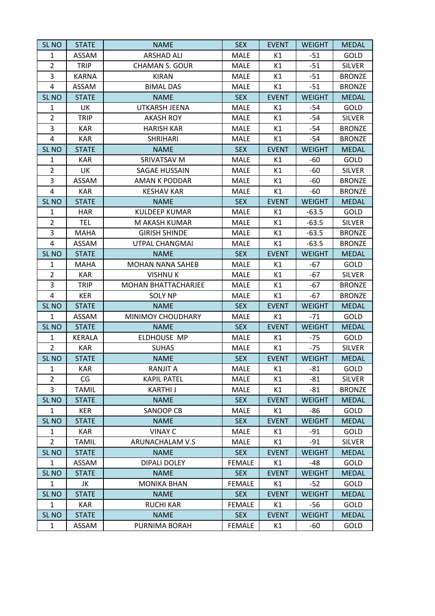| <b>SL NO</b>     | <b>STATE</b> | <b>NAME</b>                | <b>SEX</b>    | <b>EVENT</b> | <b>WEIGHT</b> | <b>MEDAL</b>  |
|------------------|--------------|----------------------------|---------------|--------------|---------------|---------------|
| $\mathbf{1}$     | ASSAM        | <b>ARSHAD ALI</b>          | MALE          | K1           | $-51$         | GOLD          |
| $\overline{2}$   | <b>TRIP</b>  | <b>CHAMAN S. GOUR</b>      | MALE          | K1           | $-51$         | <b>SILVER</b> |
| 3                | <b>KARNA</b> | <b>KIRAN</b>               | <b>MALE</b>   | K1           | $-51$         | <b>BRONZE</b> |
| 4                | ASSAM        | <b>BIMAL DAS</b>           | MALE          | K1           | $-51$         | <b>BRONZE</b> |
| SL <sub>NO</sub> | <b>STATE</b> | <b>NAME</b>                | <b>SEX</b>    | <b>EVENT</b> | <b>WEIGHT</b> | <b>MEDAL</b>  |
| $\mathbf{1}$     | UK           | <b>UTKARSH JEENA</b>       | MALE          | К1           | -54           | GOLD          |
| $\overline{2}$   | <b>TRIP</b>  | <b>AKASH ROY</b>           | MALE          | K1           | $-54$         | <b>SILVER</b> |
| 3                | <b>KAR</b>   | <b>HARISH KAR</b>          | MALE          | K1           | $-54$         | <b>BRONZE</b> |
| 4                | <b>KAR</b>   | <b>SHRIHARI</b>            | MALE          | K1           | $-54$         | <b>BRONZE</b> |
| SL <sub>NO</sub> | <b>STATE</b> | <b>NAME</b>                | <b>SEX</b>    | <b>EVENT</b> | <b>WEIGHT</b> | <b>MEDAL</b>  |
| $\mathbf{1}$     | <b>KAR</b>   | SRIVATSAV M                | <b>MALE</b>   | K1           | $-60$         | GOLD          |
| $\overline{2}$   | UK           | <b>SAGAE HUSSAIN</b>       | MALE          | K1           | $-60$         | <b>SILVER</b> |
| 3                | ASSAM        | AMAN K PODDAR              | <b>MALE</b>   | K1           | $-60$         | <b>BRONZE</b> |
| 4                | <b>KAR</b>   | <b>KESHAV KAR</b>          | MALE          | K1           | $-60$         | <b>BRONZE</b> |
| SL <sub>NO</sub> | <b>STATE</b> | <b>NAME</b>                | <b>SEX</b>    | <b>EVENT</b> | <b>WEIGHT</b> | <b>MEDAL</b>  |
| 1                | <b>HAR</b>   | <b>KULDEEP KUMAR</b>       | MALE          | K1           | $-63.5$       | GOLD          |
| $\overline{2}$   | TEL.         | M AKASH KUMAR              | MALE          | K1           | $-63.5$       | <b>SILVER</b> |
| 3                | <b>MAHA</b>  | <b>GIRISH SHINDE</b>       | <b>MALE</b>   | K1           | $-63.5$       | <b>BRONZE</b> |
| 4                | ASSAM        | UTPAL CHANGMAI             | MALE          | K1           | $-63.5$       | <b>BRONZE</b> |
| SL <sub>NO</sub> | <b>STATE</b> | <b>NAME</b>                | <b>SEX</b>    | <b>EVENT</b> | <b>WEIGHT</b> | <b>MEDAL</b>  |
| 1                | <b>MAHA</b>  | <b>MOHAN NANA SAHEB</b>    | MALE          | K1           | $-67$         | GOLD          |
| $\overline{2}$   | <b>KAR</b>   | <b>VISHNUK</b>             | MALE          | K1           | $-67$         | <b>SILVER</b> |
| 3                | <b>TRIP</b>  | <b>MOHAN BHATTACHARJEE</b> | <b>MALE</b>   | K1           | -67           | <b>BRONZE</b> |
| 4                | <b>KER</b>   | <b>SOLY NP</b>             | MALE          | K1           | $-67$         | <b>BRONZE</b> |
| SL <sub>NO</sub> | <b>STATE</b> | <b>NAME</b>                | <b>SEX</b>    | <b>EVENT</b> | <b>WEIGHT</b> | <b>MEDAL</b>  |
| 1                | ASSAM        | MINIMOY CHOUDHARY          | MALE          | K1           | $-71$         | GOLD          |
| SL <sub>NO</sub> | <b>STATE</b> | <b>NAME</b>                | <b>SEX</b>    | <b>EVENT</b> | <b>WEIGHT</b> | <b>MEDAL</b>  |
| $\mathbf{1}$     | KERALA       | ELDHOUSE MP                | MALE          | K1           | $-75$         | GOLD          |
| $\overline{2}$   | <b>KAR</b>   | <b>SUHAS</b>               | MALE          | K1           | $-75$         | <b>SILVER</b> |
| SL <sub>NO</sub> | <b>STATE</b> | <b>NAME</b>                | <b>SEX</b>    | <b>EVENT</b> | <b>WEIGHT</b> | <b>MEDAL</b>  |
| 1                | KAR.         | RANJIT A                   | MALE          | К1           | -81           | GOLD          |
| $\overline{2}$   | CG           | <b>KAPIL PATEL</b>         | <b>MALE</b>   | K1           | $-81$         | <b>SILVER</b> |
| 3                | <b>TAMIL</b> | <b>KARTHIJ</b>             | MALE          | K1           | -81           | <b>BRONZE</b> |
| SL <sub>NO</sub> | <b>STATE</b> | <b>NAME</b>                | <b>SEX</b>    | <b>EVENT</b> | <b>WEIGHT</b> | <b>MEDAL</b>  |
| 1                | <b>KER</b>   | <b>SANOOP CB</b>           | MALE          | K1           | -86           | GOLD          |
| SL <sub>NO</sub> | <b>STATE</b> | <b>NAME</b>                | <b>SEX</b>    | <b>EVENT</b> | <b>WEIGHT</b> | <b>MEDAL</b>  |
| 1                | <b>KAR</b>   | <b>VINAY C</b>             | <b>MALE</b>   | K1           | -91           | GOLD          |
| $\overline{2}$   | <b>TAMIL</b> | ARUNACHALAM V.S            | MALE          | K1           | $-91$         | <b>SILVER</b> |
| SL <sub>NO</sub> | <b>STATE</b> | <b>NAME</b>                | <b>SEX</b>    | <b>EVENT</b> | <b>WEIGHT</b> | <b>MEDAL</b>  |
| $\mathbf{1}$     | ASSAM        | <b>DIPALI DOLEY</b>        | <b>FEMALE</b> | K1           | -48           | GOLD          |
| SL <sub>NO</sub> | <b>STATE</b> | <b>NAME</b>                | <b>SEX</b>    | <b>EVENT</b> | <b>WEIGHT</b> | <b>MEDAL</b>  |
| 1                | JK           | <b>MONIKA BHAN</b>         | <b>FEMALE</b> | K1           | $-52$         | GOLD          |
| SL <sub>NO</sub> | <b>STATE</b> | <b>NAME</b>                | <b>SEX</b>    | <b>EVENT</b> | <b>WEIGHT</b> | <b>MEDAL</b>  |
| 1                | KAR.         | <b>RUCHI KAR</b>           | <b>FEMALE</b> | K1           | -56           | GOLD          |
| SL <sub>NO</sub> | <b>STATE</b> | <b>NAME</b>                | <b>SEX</b>    | <b>EVENT</b> | <b>WEIGHT</b> | <b>MEDAL</b>  |
| $\mathbf{1}$     | ASSAM        | PURNIMA BORAH              | <b>FEMALE</b> | K1           | -60           | GOLD          |